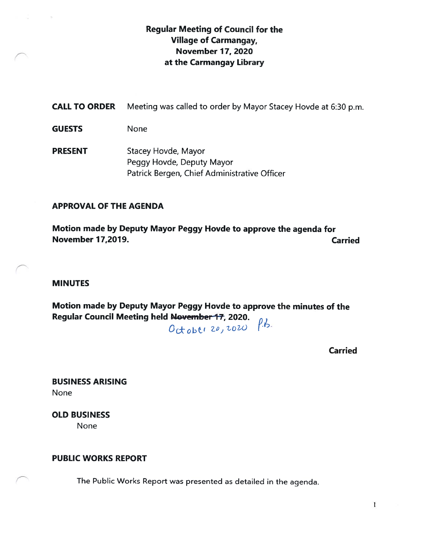## Regular Meeting of Council for the Village of Carmangay, November 17, 2020 at the Carmangay Library

CALL TO ORDER Meeting was called to order by Mayor Stacey Hovde at 6:30 p.m. GUESTS None PRESENT Stacey Hovde, Mayor Peggy Hovde, Deputy Mayor Patrick Bergen, Chief Administrative Officer

#### APPROVAL OF THE AGENDA

Motion made by Deputy Mayor Peggy Hovde to approve the agenda for November 77,2019. Carried

#### MINUTES

Motion made by Deputy Mayor Peggy Hovde to approve the minutes of the Regular Council Meeting held November 17, 2020.  $f.b.$ 

October 20, 2020

Carried

BUSINESS ARISING None

OLD BUSINESS None

#### PUBLIC WORKS REPORT

The Public Works Report was presented as detailed in the agenda.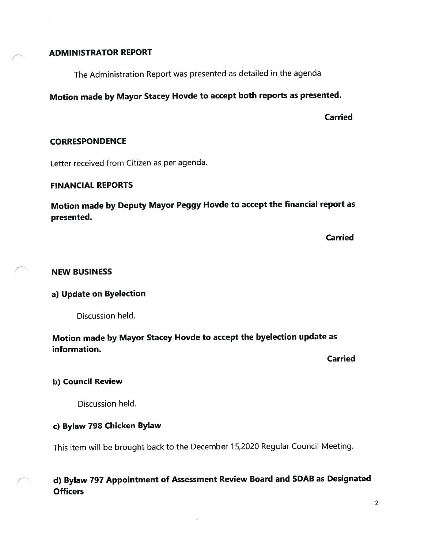## ADMINISTRATOR REPORT

The Administration Report was presented as detailed in the agenda

# Motion made by Mayor Stacey Hovde to accep<sup>t</sup> both reports as presented.

Carried

#### **CORRESPONDENCE**

Letter received from Citizen as per agenda.

## FINANCIAL REPORTS

Motion made by Deputy Mayor Peggy Hovde to accep<sup>t</sup> the financial repor<sup>t</sup> as presented.

Carried

## NEW BUSINESS

## a) Update on Byelection

Discussion held.

## Motion made by Mayor Stacey Hovde to accep<sup>t</sup> the byelection update as information.

Carried

## b) Council Review

Discussion held.

## c) Bylaw 798 Chicken Bylaw

This item will be brought back to the December 15,2020 Regular Council Meeting.

## d) Bylaw <sup>797</sup> Appointment of Assessment Review Board and SDAB as Designated **Officers**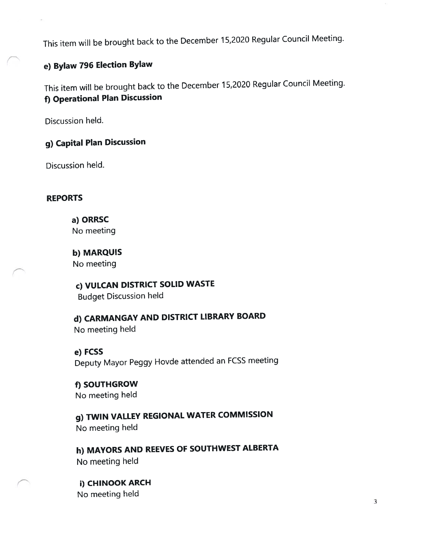This item will be brought back to the December 15,2020 Regular Council Meeting.

# e) Bylaw <sup>796</sup> Election Bylaw

This item will be brought back to the December 15,2020 Regular Council Meeting. f) Operational Plan Discussion

Discussion held.

# g) Capital Plan Discussion

Discussion held.

## REPORTS

a) ORRSC No meeting

b) MARQUIS No meeting

c) VULCAN DISTRICT SOLID WASTE Budget Discussion held

d) CARMANGAY AND DISTRICT LIBRARY BOARD No meeting held

e) FCSS Deputy Mayor Peggy Hovde attended an FCSS meeting

f) SOUTHGROW No meeting held

g) TWIN VALLEY REGIONAL WATER COMMISSION No meeting held

h) MAYORS AND REEVES OF SOUTHWEST ALBERTA No meeting held

i) CHINOOK ARCH No meeting held